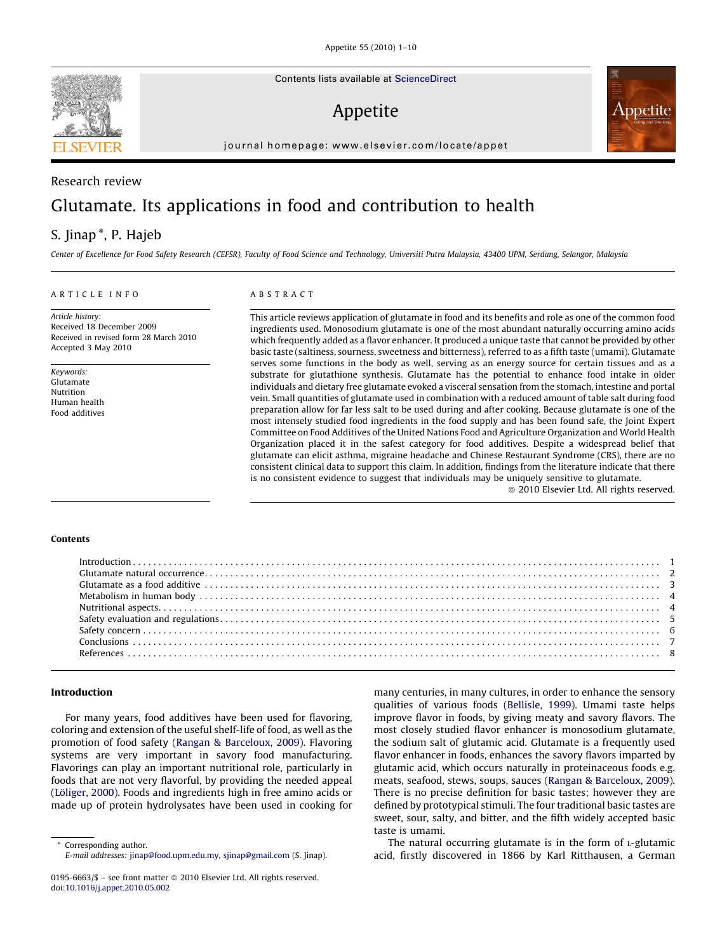Contents lists available at [ScienceDirect](http://www.sciencedirect.com/science/journal/01956663)

## Appetite

journal homepage: www.elsevier.com/locate/appet

# Glutamate. Its applications in food and contribution to health

## S. Jinap \*, P. Hajeb

Research review

Center of Excellence for Food Safety Research (CEFSR), Faculty of Food Science and Technology, Universiti Putra Malaysia, 43400 UPM, Serdang, Selangor, Malaysia

#### ARTICLE INFO

Article history: Received 18 December 2009 Received in revised form 28 March 2010 Accepted 3 May 2010

Keywords: Glutamate Nutrition Human health Food additives

### ABSTRACT

This article reviews application of glutamate in food and its benefits and role as one of the common food ingredients used. Monosodium glutamate is one of the most abundant naturally occurring amino acids which frequently added as a flavor enhancer. It produced a unique taste that cannot be provided by other basic taste (saltiness, sourness, sweetness and bitterness), referred to as a fifth taste (umami). Glutamate serves some functions in the body as well, serving as an energy source for certain tissues and as a substrate for glutathione synthesis. Glutamate has the potential to enhance food intake in older individuals and dietary free glutamate evoked a visceral sensation from the stomach, intestine and portal vein. Small quantities of glutamate used in combination with a reduced amount of table salt during food preparation allow for far less salt to be used during and after cooking. Because glutamate is one of the most intensely studied food ingredients in the food supply and has been found safe, the Joint Expert Committee on Food Additives of the United Nations Food and Agriculture Organization and World Health Organization placed it in the safest category for food additives. Despite a widespread belief that glutamate can elicit asthma, migraine headache and Chinese Restaurant Syndrome (CRS), there are no consistent clinical data to support this claim. In addition, findings from the literature indicate that there is no consistent evidence to suggest that individuals may be uniquely sensitive to glutamate.

- 2010 Elsevier Ltd. All rights reserved.

#### Contents

#### Introduction

For many years, food additives have been used for flavoring, coloring and extension of the useful shelf-life of food, as well as the promotion of food safety ([Rangan & Barceloux, 2009\)](#page-8-0). Flavoring systems are very important in savory food manufacturing. Flavorings can play an important nutritional role, particularly in foods that are not very flavorful, by providing the needed appeal (Löliger, 2000). Foods and ingredients high in free amino acids or made up of protein hydrolysates have been used in cooking for

Corresponding author. E-mail addresses: [jinap@food.upm.edu.my](mailto:jinap@food.upm.edu.my), [sjinap@gmail.com](mailto:sjinap@gmail.com) (S. Jinap). many centuries, in many cultures, in order to enhance the sensory qualities of various foods ([Bellisle, 1999](#page-7-0)). Umami taste helps improve flavor in foods, by giving meaty and savory flavors. The most closely studied flavor enhancer is monosodium glutamate, the sodium salt of glutamic acid. Glutamate is a frequently used flavor enhancer in foods, enhances the savory flavors imparted by glutamic acid, which occurs naturally in proteinaceous foods e.g. meats, seafood, stews, soups, sauces ([Rangan & Barceloux, 2009\)](#page-8-0). There is no precise definition for basic tastes; however they are defined by prototypical stimuli. The four traditional basic tastes are sweet, sour, salty, and bitter, and the fifth widely accepted basic taste is umami.

The natural occurring glutamate is in the form of  $L$ -glutamic acid, firstly discovered in 1866 by Karl Ritthausen, a German



<sup>0195-6663/\$ –</sup> see front matter © 2010 Elsevier Ltd. All rights reserved. doi:[10.1016/j.appet.2010.05.002](http://dx.doi.org/10.1016/j.appet.2010.05.002)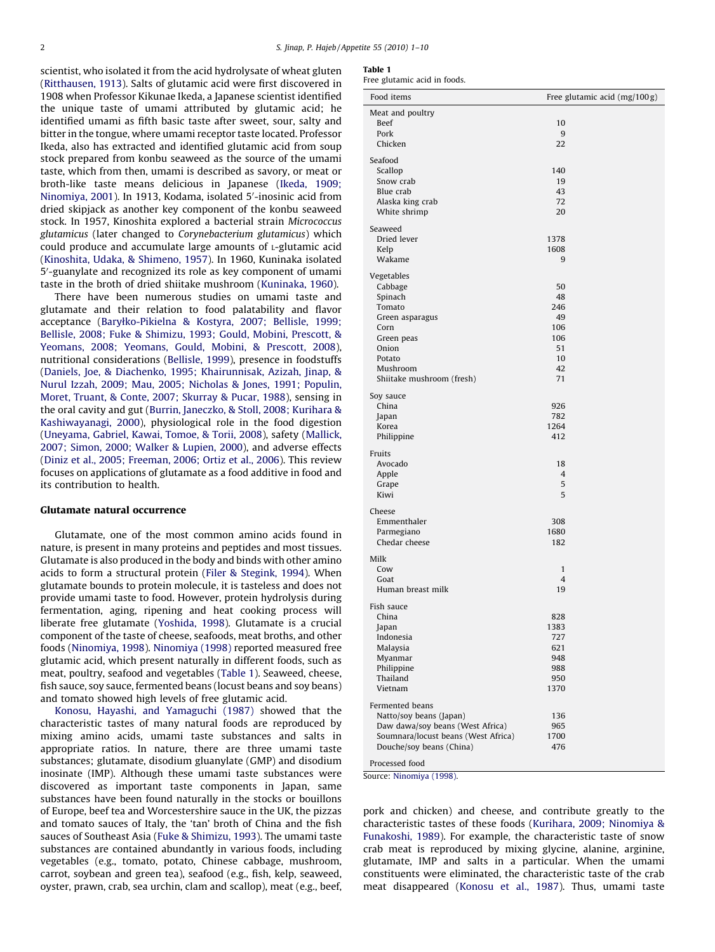scientist, who isolated it from the acid hydrolysate of wheat gluten ([Ritthausen, 1913\)](#page-8-0). Salts of glutamic acid were first discovered in 1908 when Professor Kikunae Ikeda, a Japanese scientist identified the unique taste of umami attributed by glutamic acid; he identified umami as fifth basic taste after sweet, sour, salty and bitter in the tongue, where umami receptor taste located. Professor Ikeda, also has extracted and identified glutamic acid from soup stock prepared from konbu seaweed as the source of the umami taste, which from then, umami is described as savory, or meat or broth-like taste means delicious in Japanese [\(Ikeda, 1909;](#page-7-0) [Ninomiya, 2001\)](#page-7-0). In 1913, Kodama, isolated 5'-inosinic acid from dried skipjack as another key component of the konbu seaweed stock. In 1957, Kinoshita explored a bacterial strain Micrococcus glutamicus (later changed to Corynebacterium glutamicus) which could produce and accumulate large amounts of L-glutamic acid ([Kinoshita, Udaka, & Shimeno, 1957](#page-8-0)). In 1960, Kuninaka isolated 5'-guanylate and recognized its role as key component of umami taste in the broth of dried shiitake mushroom [\(Kuninaka, 1960](#page-8-0)).

There have been numerous studies on umami taste and glutamate and their relation to food palatability and flavor acceptance [\(Baryłko-Pikielna & Kostyra, 2007; Bellisle, 1999;](#page-7-0) [Bellisle, 2008; Fuke & Shimizu, 1993; Gould, Mobini, Prescott, &](#page-7-0) [Yeomans, 2008; Yeomans, Gould, Mobini, & Prescott, 2008\)](#page-7-0), nutritional considerations ([Bellisle, 1999](#page-7-0)), presence in foodstuffs ([Daniels, Joe, & Diachenko, 1995; Khairunnisak, Azizah, Jinap, &](#page-7-0) [Nurul Izzah, 2009; Mau, 2005; Nicholas & Jones, 1991; Populin,](#page-7-0) [Moret, Truant, & Conte, 2007; Skurray & Pucar, 1988](#page-7-0)), sensing in the oral cavity and gut ([Burrin, Janeczko, & Stoll, 2008; Kurihara &](#page-7-0) [Kashiwayanagi, 2000](#page-7-0)), physiological role in the food digestion ([Uneyama, Gabriel, Kawai, Tomoe, & Torii, 2008\)](#page-8-0), safety ([Mallick,](#page-8-0) [2007; Simon, 2000; Walker & Lupien, 2000](#page-8-0)), and adverse effects ([Diniz et al., 2005; Freeman, 2006; Ortiz et al., 2006\)](#page-7-0). This review focuses on applications of glutamate as a food additive in food and its contribution to health.

#### Glutamate natural occurrence

Glutamate, one of the most common amino acids found in nature, is present in many proteins and peptides and most tissues. Glutamate is also produced in the body and binds with other amino acids to form a structural protein ([Filer & Stegink, 1994\)](#page-7-0). When glutamate bounds to protein molecule, it is tasteless and does not provide umami taste to food. However, protein hydrolysis during fermentation, aging, ripening and heat cooking process will liberate free glutamate ([Yoshida, 1998](#page-9-0)). Glutamate is a crucial component of the taste of cheese, seafoods, meat broths, and other foods ([Ninomiya, 1998\)](#page-8-0). [Ninomiya \(1998\)](#page-8-0) reported measured free glutamic acid, which present naturally in different foods, such as meat, poultry, seafood and vegetables (Table 1). Seaweed, cheese, fish sauce, soy sauce, fermented beans (locust beans and soy beans) and tomato showed high levels of free glutamic acid.

[Konosu, Hayashi, and Yamaguchi \(1987\)](#page-8-0) showed that the characteristic tastes of many natural foods are reproduced by mixing amino acids, umami taste substances and salts in appropriate ratios. In nature, there are three umami taste substances; glutamate, disodium gluanylate (GMP) and disodium inosinate (IMP). Although these umami taste substances were discovered as important taste components in Japan, same substances have been found naturally in the stocks or bouillons of Europe, beef tea and Worcestershire sauce in the UK, the pizzas and tomato sauces of Italy, the 'tan' broth of China and the fish sauces of Southeast Asia [\(Fuke & Shimizu, 1993\)](#page-7-0). The umami taste substances are contained abundantly in various foods, including vegetables (e.g., tomato, potato, Chinese cabbage, mushroom, carrot, soybean and green tea), seafood (e.g., fish, kelp, seaweed, oyster, prawn, crab, sea urchin, clam and scallop), meat (e.g., beef,

#### Table 1

Free glutamic acid in foods.

| Meat and poultry<br>Beef<br>10<br>9<br>Pork<br>22<br>Chicken<br>Seafood<br>Scallop<br>140<br>Snow crab<br>19<br>43<br>Blue crab<br>72<br>Alaska king crab<br>White shrimp<br>20<br>Seaweed<br>Dried lever<br>1378<br>Kelp<br>1608<br>Wakame<br>9<br>Vegetables<br>50<br>Cabbage<br>Spinach<br>48<br>Tomato<br>246<br>49<br>Green asparagus<br>Corn<br>106<br>106<br>Green peas<br>Onion<br>51<br>Potato<br>10<br>42<br>Mushroom<br>Shiitake mushroom (fresh)<br>71<br>Soy sauce<br>China<br>926<br>782<br>Japan |
|-----------------------------------------------------------------------------------------------------------------------------------------------------------------------------------------------------------------------------------------------------------------------------------------------------------------------------------------------------------------------------------------------------------------------------------------------------------------------------------------------------------------|
|                                                                                                                                                                                                                                                                                                                                                                                                                                                                                                                 |
|                                                                                                                                                                                                                                                                                                                                                                                                                                                                                                                 |
|                                                                                                                                                                                                                                                                                                                                                                                                                                                                                                                 |
|                                                                                                                                                                                                                                                                                                                                                                                                                                                                                                                 |
|                                                                                                                                                                                                                                                                                                                                                                                                                                                                                                                 |
|                                                                                                                                                                                                                                                                                                                                                                                                                                                                                                                 |
|                                                                                                                                                                                                                                                                                                                                                                                                                                                                                                                 |
|                                                                                                                                                                                                                                                                                                                                                                                                                                                                                                                 |
|                                                                                                                                                                                                                                                                                                                                                                                                                                                                                                                 |
|                                                                                                                                                                                                                                                                                                                                                                                                                                                                                                                 |
|                                                                                                                                                                                                                                                                                                                                                                                                                                                                                                                 |
|                                                                                                                                                                                                                                                                                                                                                                                                                                                                                                                 |
|                                                                                                                                                                                                                                                                                                                                                                                                                                                                                                                 |
|                                                                                                                                                                                                                                                                                                                                                                                                                                                                                                                 |
|                                                                                                                                                                                                                                                                                                                                                                                                                                                                                                                 |
|                                                                                                                                                                                                                                                                                                                                                                                                                                                                                                                 |
|                                                                                                                                                                                                                                                                                                                                                                                                                                                                                                                 |
|                                                                                                                                                                                                                                                                                                                                                                                                                                                                                                                 |
|                                                                                                                                                                                                                                                                                                                                                                                                                                                                                                                 |
|                                                                                                                                                                                                                                                                                                                                                                                                                                                                                                                 |
|                                                                                                                                                                                                                                                                                                                                                                                                                                                                                                                 |
|                                                                                                                                                                                                                                                                                                                                                                                                                                                                                                                 |
|                                                                                                                                                                                                                                                                                                                                                                                                                                                                                                                 |
|                                                                                                                                                                                                                                                                                                                                                                                                                                                                                                                 |
|                                                                                                                                                                                                                                                                                                                                                                                                                                                                                                                 |
|                                                                                                                                                                                                                                                                                                                                                                                                                                                                                                                 |
|                                                                                                                                                                                                                                                                                                                                                                                                                                                                                                                 |
| Korea<br>1264                                                                                                                                                                                                                                                                                                                                                                                                                                                                                                   |
| Philippine<br>412                                                                                                                                                                                                                                                                                                                                                                                                                                                                                               |
| Fruits                                                                                                                                                                                                                                                                                                                                                                                                                                                                                                          |
| Avocado<br>18                                                                                                                                                                                                                                                                                                                                                                                                                                                                                                   |
| Apple<br>4                                                                                                                                                                                                                                                                                                                                                                                                                                                                                                      |
| Grape<br>5                                                                                                                                                                                                                                                                                                                                                                                                                                                                                                      |
| Kiwi<br>5                                                                                                                                                                                                                                                                                                                                                                                                                                                                                                       |
| Cheese                                                                                                                                                                                                                                                                                                                                                                                                                                                                                                          |
| Emmenthaler<br>308                                                                                                                                                                                                                                                                                                                                                                                                                                                                                              |
| Parmegiano<br>1680                                                                                                                                                                                                                                                                                                                                                                                                                                                                                              |
| Chedar cheese<br>182                                                                                                                                                                                                                                                                                                                                                                                                                                                                                            |
| Milk                                                                                                                                                                                                                                                                                                                                                                                                                                                                                                            |
| Cow<br>$\mathbf{1}$                                                                                                                                                                                                                                                                                                                                                                                                                                                                                             |
| $\overline{4}$<br>Goat                                                                                                                                                                                                                                                                                                                                                                                                                                                                                          |
| Human breast milk<br>19                                                                                                                                                                                                                                                                                                                                                                                                                                                                                         |
| Fish sauce                                                                                                                                                                                                                                                                                                                                                                                                                                                                                                      |
| China<br>828                                                                                                                                                                                                                                                                                                                                                                                                                                                                                                    |
| 1383<br>Japan                                                                                                                                                                                                                                                                                                                                                                                                                                                                                                   |
| Indonesia<br>727<br>Malaysia                                                                                                                                                                                                                                                                                                                                                                                                                                                                                    |
| 621<br>Myanmar<br>948                                                                                                                                                                                                                                                                                                                                                                                                                                                                                           |
| Philippine<br>988                                                                                                                                                                                                                                                                                                                                                                                                                                                                                               |
| Thailand<br>950                                                                                                                                                                                                                                                                                                                                                                                                                                                                                                 |
| Vietnam<br>1370                                                                                                                                                                                                                                                                                                                                                                                                                                                                                                 |
| Fermented beans                                                                                                                                                                                                                                                                                                                                                                                                                                                                                                 |
| Natto/soy beans (Japan)<br>136                                                                                                                                                                                                                                                                                                                                                                                                                                                                                  |
| Daw dawa/soy beans (West Africa)<br>965                                                                                                                                                                                                                                                                                                                                                                                                                                                                         |
| Soumnara/locust beans (West Africa)<br>1700                                                                                                                                                                                                                                                                                                                                                                                                                                                                     |
| Douche/soy beans (China)<br>476                                                                                                                                                                                                                                                                                                                                                                                                                                                                                 |
| Processed food                                                                                                                                                                                                                                                                                                                                                                                                                                                                                                  |

Source: Ninomiya (1998).

pork and chicken) and cheese, and contribute greatly to the characteristic tastes of these foods ([Kurihara, 2009; Ninomiya &](#page-8-0) [Funakoshi, 1989](#page-8-0)). For example, the characteristic taste of snow crab meat is reproduced by mixing glycine, alanine, arginine, glutamate, IMP and salts in a particular. When the umami constituents were eliminated, the characteristic taste of the crab meat disappeared [\(Konosu et al., 1987\)](#page-8-0). Thus, umami taste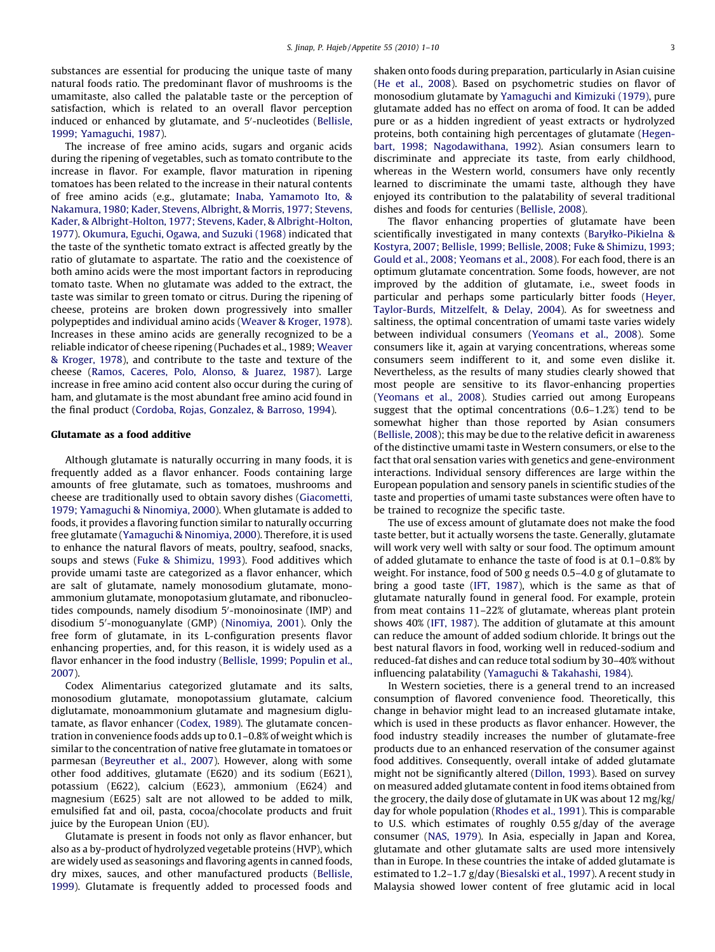substances are essential for producing the unique taste of many natural foods ratio. The predominant flavor of mushrooms is the umamitaste, also called the palatable taste or the perception of satisfaction, which is related to an overall flavor perception induced or enhanced by glutamate, and 5'-nucleotides [\(Bellisle,](#page-7-0) [1999; Yamaguchi, 1987\)](#page-7-0).

The increase of free amino acids, sugars and organic acids during the ripening of vegetables, such as tomato contribute to the increase in flavor. For example, flavor maturation in ripening tomatoes has been related to the increase in their natural contents of free amino acids (e.g., glutamate; [Inaba, Yamamoto Ito, &](#page-7-0) [Nakamura, 1980; Kader, Stevens, Albright, & Morris, 1977; Stevens,](#page-7-0) [Kader, & Albright-Holton, 1977; Stevens, Kader, & Albright-Holton,](#page-7-0) [1977\)](#page-7-0). [Okumura, Eguchi, Ogawa, and Suzuki \(1968\)](#page-8-0) indicated that the taste of the synthetic tomato extract is affected greatly by the ratio of glutamate to aspartate. The ratio and the coexistence of both amino acids were the most important factors in reproducing tomato taste. When no glutamate was added to the extract, the taste was similar to green tomato or citrus. During the ripening of cheese, proteins are broken down progressively into smaller polypeptides and individual amino acids ([Weaver & Kroger, 1978\)](#page-8-0). Increases in these amino acids are generally recognized to be a reliable indicator of cheese ripening (Puchades et al., 1989; [Weaver](#page-8-0) [& Kroger, 1978](#page-8-0)), and contribute to the taste and texture of the cheese [\(Ramos, Caceres, Polo, Alonso, & Juarez, 1987\)](#page-8-0). Large increase in free amino acid content also occur during the curing of ham, and glutamate is the most abundant free amino acid found in the final product [\(Cordoba, Rojas, Gonzalez, & Barroso, 1994\)](#page-7-0).

#### Glutamate as a food additive

Although glutamate is naturally occurring in many foods, it is frequently added as a flavor enhancer. Foods containing large amounts of free glutamate, such as tomatoes, mushrooms and cheese are traditionally used to obtain savory dishes ([Giacometti,](#page-7-0) [1979; Yamaguchi & Ninomiya, 2000](#page-7-0)). When glutamate is added to foods, it provides a flavoring function similar to naturally occurring free glutamate [\(Yamaguchi & Ninomiya, 2000\)](#page-8-0). Therefore, it is used to enhance the natural flavors of meats, poultry, seafood, snacks, soups and stews [\(Fuke & Shimizu, 1993](#page-7-0)). Food additives which provide umami taste are categorized as a flavor enhancer, which are salt of glutamate, namely monosodium glutamate, monoammonium glutamate, monopotasium glutamate, and ribonucleotides compounds, namely disodium 5'-monoinosinate (IMP) and disodium 5'-monoguanylate (GMP) ([Ninomiya, 2001](#page-8-0)). Only the free form of glutamate, in its L-configuration presents flavor enhancing properties, and, for this reason, it is widely used as a flavor enhancer in the food industry ([Bellisle, 1999; Populin et al.,](#page-7-0) [2007\)](#page-7-0).

Codex Alimentarius categorized glutamate and its salts, monosodium glutamate, monopotassium glutamate, calcium diglutamate, monoammonium glutamate and magnesium diglutamate, as flavor enhancer [\(Codex, 1989\)](#page-7-0). The glutamate concentration in convenience foods adds up to 0.1–0.8% of weight which is similar to the concentration of native free glutamate in tomatoes or parmesan [\(Beyreuther et al., 2007](#page-7-0)). However, along with some other food additives, glutamate (E620) and its sodium (E621), potassium (E622), calcium (E623), ammonium (E624) and magnesium (E625) salt are not allowed to be added to milk, emulsified fat and oil, pasta, cocoa/chocolate products and fruit juice by the European Union (EU).

Glutamate is present in foods not only as flavor enhancer, but also as a by-product of hydrolyzed vegetable proteins (HVP), which are widely used as seasonings and flavoring agents in canned foods, dry mixes, sauces, and other manufactured products [\(Bellisle,](#page-7-0) [1999\)](#page-7-0). Glutamate is frequently added to processed foods and shaken onto foods during preparation, particularly in Asian cuisine ([He et al., 2008\)](#page-7-0). Based on psychometric studies on flavor of monosodium glutamate by [Yamaguchi and Kimizuki \(1979\),](#page-9-0) pure glutamate added has no effect on aroma of food. It can be added pure or as a hidden ingredient of yeast extracts or hydrolyzed proteins, both containing high percentages of glutamate ([Hegen](#page-7-0)[bart, 1998; Nagodawithana, 1992\)](#page-7-0). Asian consumers learn to discriminate and appreciate its taste, from early childhood, whereas in the Western world, consumers have only recently learned to discriminate the umami taste, although they have enjoyed its contribution to the palatability of several traditional dishes and foods for centuries ([Bellisle, 2008\)](#page-7-0).

The flavor enhancing properties of glutamate have been scientifically investigated in many contexts [\(Baryłko-Pikielna &](#page-7-0) [Kostyra, 2007; Bellisle, 1999; Bellisle, 2008; Fuke & Shimizu, 1993;](#page-7-0) [Gould et al., 2008; Yeomans et al., 2008\)](#page-7-0). For each food, there is an optimum glutamate concentration. Some foods, however, are not improved by the addition of glutamate, i.e., sweet foods in particular and perhaps some particularly bitter foods ([Heyer,](#page-7-0) [Taylor-Burds, Mitzelfelt, & Delay, 2004](#page-7-0)). As for sweetness and saltiness, the optimal concentration of umami taste varies widely between individual consumers [\(Yeomans et al., 2008](#page-9-0)). Some consumers like it, again at varying concentrations, whereas some consumers seem indifferent to it, and some even dislike it. Nevertheless, as the results of many studies clearly showed that most people are sensitive to its flavor-enhancing properties ([Yeomans et al., 2008\)](#page-9-0). Studies carried out among Europeans suggest that the optimal concentrations (0.6–1.2%) tend to be somewhat higher than those reported by Asian consumers ([Bellisle, 2008\)](#page-7-0); this may be due to the relative deficit in awareness of the distinctive umami taste in Western consumers, or else to the fact that oral sensation varies with genetics and gene-environment interactions. Individual sensory differences are large within the European population and sensory panels in scientific studies of the taste and properties of umami taste substances were often have to be trained to recognize the specific taste.

The use of excess amount of glutamate does not make the food taste better, but it actually worsens the taste. Generally, glutamate will work very well with salty or sour food. The optimum amount of added glutamate to enhance the taste of food is at 0.1–0.8% by weight. For instance, food of 500 g needs 0.5–4.0 g of glutamate to bring a good taste ([IFT, 1987](#page-7-0)), which is the same as that of glutamate naturally found in general food. For example, protein from meat contains 11–22% of glutamate, whereas plant protein shows 40% [\(IFT, 1987\)](#page-7-0). The addition of glutamate at this amount can reduce the amount of added sodium chloride. It brings out the best natural flavors in food, working well in reduced-sodium and reduced-fat dishes and can reduce total sodium by 30–40% without influencing palatability [\(Yamaguchi & Takahashi, 1984](#page-9-0)).

In Western societies, there is a general trend to an increased consumption of flavored convenience food. Theoretically, this change in behavior might lead to an increased glutamate intake, which is used in these products as flavor enhancer. However, the food industry steadily increases the number of glutamate-free products due to an enhanced reservation of the consumer against food additives. Consequently, overall intake of added glutamate might not be significantly altered ([Dillon, 1993\)](#page-7-0). Based on survey on measured added glutamate content in food items obtained from the grocery, the daily dose of glutamate in UK was about 12 mg/kg/ day for whole population ([Rhodes et al., 1991](#page-8-0)). This is comparable to U.S. which estimates of roughly 0.55 g/day of the average consumer ([NAS, 1979\)](#page-8-0). In Asia, especially in Japan and Korea, glutamate and other glutamate salts are used more intensively than in Europe. In these countries the intake of added glutamate is estimated to 1.2–1.7 g/day ([Biesalski et al., 1997](#page-7-0)). A recent study in Malaysia showed lower content of free glutamic acid in local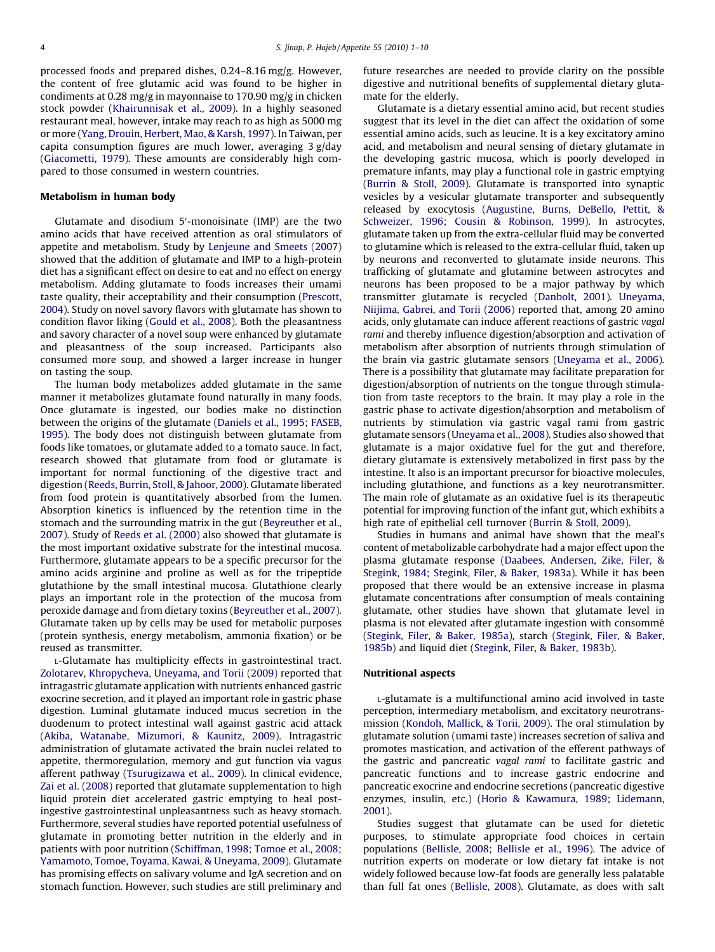processed foods and prepared dishes, 0.24–8.16 mg/g. However, the content of free glutamic acid was found to be higher in condiments at 0.28 mg/g in mayonnaise to 170.90 mg/g in chicken stock powder ([Khairunnisak et al., 2009](#page-8-0)). In a highly seasoned restaurant meal, however, intake may reach to as high as 5000 mg or more ([Yang, Drouin, Herbert, Mao, & Karsh, 1997](#page-9-0)). In Taiwan, per capita consumption figures are much lower, averaging 3 g/day ([Giacometti, 1979\)](#page-7-0). These amounts are considerably high compared to those consumed in western countries.

#### Metabolism in human body

Glutamate and disodium 5'-monoisinate (IMP) are the two amino acids that have received attention as oral stimulators of appetite and metabolism. Study by [Lenjeune and Smeets \(2007\)](#page-8-0) showed that the addition of glutamate and IMP to a high-protein diet has a significant effect on desire to eat and no effect on energy metabolism. Adding glutamate to foods increases their umami taste quality, their acceptability and their consumption ([Prescott,](#page-8-0) [2004\)](#page-8-0). Study on novel savory flavors with glutamate has shown to condition flavor liking ([Gould et al., 2008\)](#page-7-0). Both the pleasantness and savory character of a novel soup were enhanced by glutamate and pleasantness of the soup increased. Participants also consumed more soup, and showed a larger increase in hunger on tasting the soup.

The human body metabolizes added glutamate in the same manner it metabolizes glutamate found naturally in many foods. Once glutamate is ingested, our bodies make no distinction between the origins of the glutamate [\(Daniels et al., 1995; FASEB,](#page-7-0) [1995](#page-7-0)). The body does not distinguish between glutamate from foods like tomatoes, or glutamate added to a tomato sauce. In fact, research showed that glutamate from food or glutamate is important for normal functioning of the digestive tract and digestion ([Reeds, Burrin, Stoll, & Jahoor, 2000](#page-8-0)). Glutamate liberated from food protein is quantitatively absorbed from the lumen. Absorption kinetics is influenced by the retention time in the stomach and the surrounding matrix in the gut ([Beyreuther et al.,](#page-7-0) [2007\)](#page-7-0). Study of [Reeds et al. \(2000\)](#page-8-0) also showed that glutamate is the most important oxidative substrate for the intestinal mucosa. Furthermore, glutamate appears to be a specific precursor for the amino acids arginine and proline as well as for the tripeptide glutathione by the small intestinal mucosa. Glutathione clearly plays an important role in the protection of the mucosa from peroxide damage and from dietary toxins ([Beyreuther et al., 2007\)](#page-7-0). Glutamate taken up by cells may be used for metabolic purposes (protein synthesis, energy metabolism, ammonia fixation) or be reused as transmitter.

L-Glutamate has multiplicity effects in gastrointestinal tract. [Zolotarev, Khropycheva, Uneyama, and Torii \(2009\)](#page-9-0) reported that intragastric glutamate application with nutrients enhanced gastric exocrine secretion, and it played an important role in gastric phase digestion. Luminal glutamate induced mucus secretion in the duodenum to protect intestinal wall against gastric acid attack ([Akiba, Watanabe, Mizumori, & Kaunitz, 2009](#page-7-0)). Intragastric administration of glutamate activated the brain nuclei related to appetite, thermoregulation, memory and gut function via vagus afferent pathway ([Tsurugizawa et al., 2009](#page-8-0)). In clinical evidence, [Zai et al. \(2008\)](#page-9-0) reported that glutamate supplementation to high liquid protein diet accelerated gastric emptying to heal postingestive gastrointestinal unpleasantness such as heavy stomach. Furthermore, several studies have reported potential usefulness of glutamate in promoting better nutrition in the elderly and in patients with poor nutrition ([Schiffman, 1998; Tomoe et al., 2008;](#page-8-0) [Yamamoto, Tomoe, Toyama, Kawai, & Uneyama, 2009\)](#page-8-0). Glutamate has promising effects on salivary volume and IgA secretion and on stomach function. However, such studies are still preliminary and

future researches are needed to provide clarity on the possible digestive and nutritional benefits of supplemental dietary glutamate for the elderly.

Glutamate is a dietary essential amino acid, but recent studies suggest that its level in the diet can affect the oxidation of some essential amino acids, such as leucine. It is a key excitatory amino acid, and metabolism and neural sensing of dietary glutamate in the developing gastric mucosa, which is poorly developed in premature infants, may play a functional role in gastric emptying ([Burrin & Stoll, 2009\)](#page-7-0). Glutamate is transported into synaptic vesicles by a vesicular glutamate transporter and subsequently released by exocytosis [\(Augustine, Burns, DeBello, Pettit, &](#page-7-0) [Schweizer, 1996; Cousin & Robinson, 1999](#page-7-0)). In astrocytes, glutamate taken up from the extra-cellular fluid may be converted to glutamine which is released to the extra-cellular fluid, taken up by neurons and reconverted to glutamate inside neurons. This trafficking of glutamate and glutamine between astrocytes and neurons has been proposed to be a major pathway by which transmitter glutamate is recycled [\(Danbolt, 2001](#page-7-0)). [Uneyama,](#page-8-0) [Niijima, Gabrei, and Torii \(2006\)](#page-8-0) reported that, among 20 amino acids, only glutamate can induce afferent reactions of gastric vagal rami and thereby influence digestion/absorption and activation of metabolism after absorption of nutrients through stimulation of the brain via gastric glutamate sensors [\(Uneyama et al., 2006\)](#page-8-0). There is a possibility that glutamate may facilitate preparation for digestion/absorption of nutrients on the tongue through stimulation from taste receptors to the brain. It may play a role in the gastric phase to activate digestion/absorption and metabolism of nutrients by stimulation via gastric vagal rami from gastric glutamate sensors [\(Uneyama et al., 2008](#page-8-0)). Studies also showed that glutamate is a major oxidative fuel for the gut and therefore, dietary glutamate is extensively metabolized in first pass by the intestine. It also is an important precursor for bioactive molecules, including glutathione, and functions as a key neurotransmitter. The main role of glutamate as an oxidative fuel is its therapeutic potential for improving function of the infant gut, which exhibits a high rate of epithelial cell turnover [\(Burrin & Stoll, 2009\)](#page-7-0).

Studies in humans and animal have shown that the meal's content of metabolizable carbohydrate had a major effect upon the plasma glutamate response [\(Daabees, Andersen, Zike, Filer, &](#page-7-0) [Stegink, 1984; Stegink, Filer, & Baker, 1983a](#page-7-0)). While it has been proposed that there would be an extensive increase in plasma glutamate concentrations after consumption of meals containing glutamate, other studies have shown that glutamate level in plasma is not elevated after glutamate ingestion with consommé ([Stegink, Filer, & Baker, 1985a\)](#page-8-0), starch [\(Stegink, Filer, & Baker,](#page-8-0) [1985b\)](#page-8-0) and liquid diet [\(Stegink, Filer, & Baker, 1983b\)](#page-8-0).

#### Nutritional aspects

L-glutamate is a multifunctional amino acid involved in taste perception, intermediary metabolism, and excitatory neurotransmission [\(Kondoh, Mallick, & Torii, 2009](#page-8-0)). The oral stimulation by glutamate solution (umami taste) increases secretion of saliva and promotes mastication, and activation of the efferent pathways of the gastric and pancreatic vagal rami to facilitate gastric and pancreatic functions and to increase gastric endocrine and pancreatic exocrine and endocrine secretions (pancreatic digestive enzymes, insulin, etc.) [\(Horio & Kawamura, 1989; Lidemann,](#page-7-0) [2001\)](#page-7-0).

Studies suggest that glutamate can be used for dietetic purposes, to stimulate appropriate food choices in certain populations [\(Bellisle, 2008; Bellisle et al., 1996\)](#page-7-0). The advice of nutrition experts on moderate or low dietary fat intake is not widely followed because low-fat foods are generally less palatable than full fat ones ([Bellisle, 2008\)](#page-7-0). Glutamate, as does with salt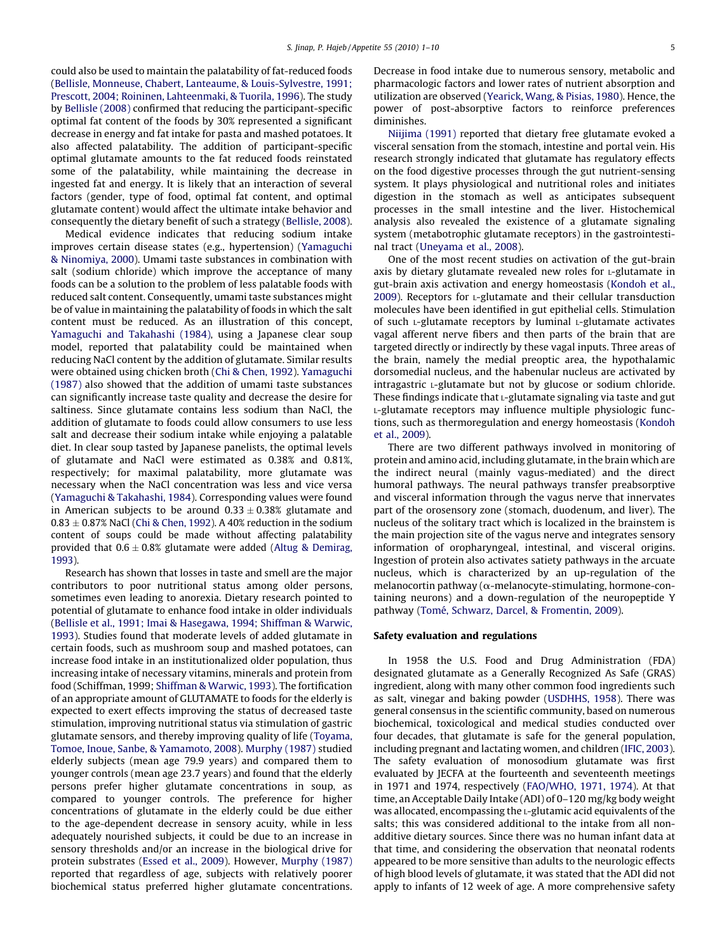could also be used to maintain the palatability of fat-reduced foods ([Bellisle, Monneuse, Chabert, Lanteaume, & Louis-Sylvestre, 1991;](#page-7-0) [Prescott, 2004; Roininen, Lahteenmaki, & Tuorila, 1996\)](#page-7-0). The study by [Bellisle \(2008\)](#page-7-0) confirmed that reducing the participant-specific optimal fat content of the foods by 30% represented a significant decrease in energy and fat intake for pasta and mashed potatoes. It also affected palatability. The addition of participant-specific optimal glutamate amounts to the fat reduced foods reinstated some of the palatability, while maintaining the decrease in ingested fat and energy. It is likely that an interaction of several factors (gender, type of food, optimal fat content, and optimal glutamate content) would affect the ultimate intake behavior and consequently the dietary benefit of such a strategy [\(Bellisle, 2008\)](#page-7-0).

Medical evidence indicates that reducing sodium intake improves certain disease states (e.g., hypertension) [\(Yamaguchi](#page-8-0) [& Ninomiya, 2000\)](#page-8-0). Umami taste substances in combination with salt (sodium chloride) which improve the acceptance of many foods can be a solution to the problem of less palatable foods with reduced salt content. Consequently, umami taste substances might be of value in maintaining the palatability of foods in which the salt content must be reduced. As an illustration of this concept, [Yamaguchi and Takahashi \(1984\)](#page-9-0), using a Japanese clear soup model, reported that palatability could be maintained when reducing NaCl content by the addition of glutamate. Similar results were obtained using chicken broth [\(Chi & Chen, 1992](#page-7-0)). [Yamaguchi](#page-8-0) [\(1987\)](#page-8-0) also showed that the addition of umami taste substances can significantly increase taste quality and decrease the desire for saltiness. Since glutamate contains less sodium than NaCl, the addition of glutamate to foods could allow consumers to use less salt and decrease their sodium intake while enjoying a palatable diet. In clear soup tasted by Japanese panelists, the optimal levels of glutamate and NaCl were estimated as 0.38% and 0.81%, respectively; for maximal palatability, more glutamate was necessary when the NaCl concentration was less and vice versa ([Yamaguchi & Takahashi, 1984](#page-9-0)). Corresponding values were found in American subjects to be around 0.33  $\pm$  0.38% glutamate and 0.83  $\pm$  0.87% NaCl [\(Chi & Chen, 1992\)](#page-7-0). A 40% reduction in the sodium content of soups could be made without affecting palatability provided that 0.6  $\pm$  0.8% glutamate were added [\(Altug & Demirag,](#page-7-0) [1993](#page-7-0)).

Research has shown that losses in taste and smell are the major contributors to poor nutritional status among older persons, sometimes even leading to anorexia. Dietary research pointed to potential of glutamate to enhance food intake in older individuals ([Bellisle et al., 1991; Imai & Hasegawa, 1994; Shiffman & Warwic,](#page-7-0) [1993\)](#page-7-0). Studies found that moderate levels of added glutamate in certain foods, such as mushroom soup and mashed potatoes, can increase food intake in an institutionalized older population, thus increasing intake of necessary vitamins, minerals and protein from food (Schiffman, 1999; [Shiffman & Warwic, 1993](#page-8-0)). The fortification of an appropriate amount of GLUTAMATE to foods for the elderly is expected to exert effects improving the status of decreased taste stimulation, improving nutritional status via stimulation of gastric glutamate sensors, and thereby improving quality of life ([Toyama,](#page-8-0) [Tomoe, Inoue, Sanbe, & Yamamoto, 2008\)](#page-8-0). [Murphy \(1987\)](#page-8-0) studied elderly subjects (mean age 79.9 years) and compared them to younger controls (mean age 23.7 years) and found that the elderly persons prefer higher glutamate concentrations in soup, as compared to younger controls. The preference for higher concentrations of glutamate in the elderly could be due either to the age-dependent decrease in sensory acuity, while in less adequately nourished subjects, it could be due to an increase in sensory thresholds and/or an increase in the biological drive for protein substrates ([Essed et al., 2009\)](#page-7-0). However, [Murphy \(1987\)](#page-8-0) reported that regardless of age, subjects with relatively poorer biochemical status preferred higher glutamate concentrations. Decrease in food intake due to numerous sensory, metabolic and pharmacologic factors and lower rates of nutrient absorption and utilization are observed ([Yearick, Wang, & Pisias, 1980\)](#page-9-0). Hence, the power of post-absorptive factors to reinforce preferences diminishes.

[Niijima \(1991\)](#page-8-0) reported that dietary free glutamate evoked a visceral sensation from the stomach, intestine and portal vein. His research strongly indicated that glutamate has regulatory effects on the food digestive processes through the gut nutrient-sensing system. It plays physiological and nutritional roles and initiates digestion in the stomach as well as anticipates subsequent processes in the small intestine and the liver. Histochemical analysis also revealed the existence of a glutamate signaling system (metabotrophic glutamate receptors) in the gastrointestinal tract ([Uneyama et al., 2008](#page-8-0)).

One of the most recent studies on activation of the gut-brain axis by dietary glutamate revealed new roles for L-glutamate in gut-brain axis activation and energy homeostasis ([Kondoh et al.,](#page-8-0) [2009\)](#page-8-0). Receptors for L-glutamate and their cellular transduction molecules have been identified in gut epithelial cells. Stimulation of such L-glutamate receptors by luminal L-glutamate activates vagal afferent nerve fibers and then parts of the brain that are targeted directly or indirectly by these vagal inputs. Three areas of the brain, namely the medial preoptic area, the hypothalamic dorsomedial nucleus, and the habenular nucleus are activated by intragastric L-glutamate but not by glucose or sodium chloride. These findings indicate that L-glutamate signaling via taste and gut L-glutamate receptors may influence multiple physiologic functions, such as thermoregulation and energy homeostasis [\(Kondoh](#page-8-0) [et al., 2009](#page-8-0)).

There are two different pathways involved in monitoring of protein and amino acid, including glutamate, in the brain which are the indirect neural (mainly vagus-mediated) and the direct humoral pathways. The neural pathways transfer preabsorptive and visceral information through the vagus nerve that innervates part of the orosensory zone (stomach, duodenum, and liver). The nucleus of the solitary tract which is localized in the brainstem is the main projection site of the vagus nerve and integrates sensory information of oropharyngeal, intestinal, and visceral origins. Ingestion of protein also activates satiety pathways in the arcuate nucleus, which is characterized by an up-regulation of the melanocortin pathway ( $\alpha$ -melanocyte-stimulating, hormone-containing neurons) and a down-regulation of the neuropeptide Y pathway (Tomé, Schwarz, Darcel, & Fromentin, 2009).

#### Safety evaluation and regulations

In 1958 the U.S. Food and Drug Administration (FDA) designated glutamate as a Generally Recognized As Safe (GRAS) ingredient, along with many other common food ingredients such as salt, vinegar and baking powder [\(USDHHS, 1958\)](#page-8-0). There was general consensus in the scientific community, based on numerous biochemical, toxicological and medical studies conducted over four decades, that glutamate is safe for the general population, including pregnant and lactating women, and children [\(IFIC, 2003\)](#page-7-0). The safety evaluation of monosodium glutamate was first evaluated by JECFA at the fourteenth and seventeenth meetings in 1971 and 1974, respectively ([FAO/WHO, 1971, 1974](#page-7-0)). At that time, an Acceptable Daily Intake (ADI) of 0–120 mg/kg body weight was allocated, encompassing the L-glutamic acid equivalents of the salts; this was considered additional to the intake from all nonadditive dietary sources. Since there was no human infant data at that time, and considering the observation that neonatal rodents appeared to be more sensitive than adults to the neurologic effects of high blood levels of glutamate, it was stated that the ADI did not apply to infants of 12 week of age. A more comprehensive safety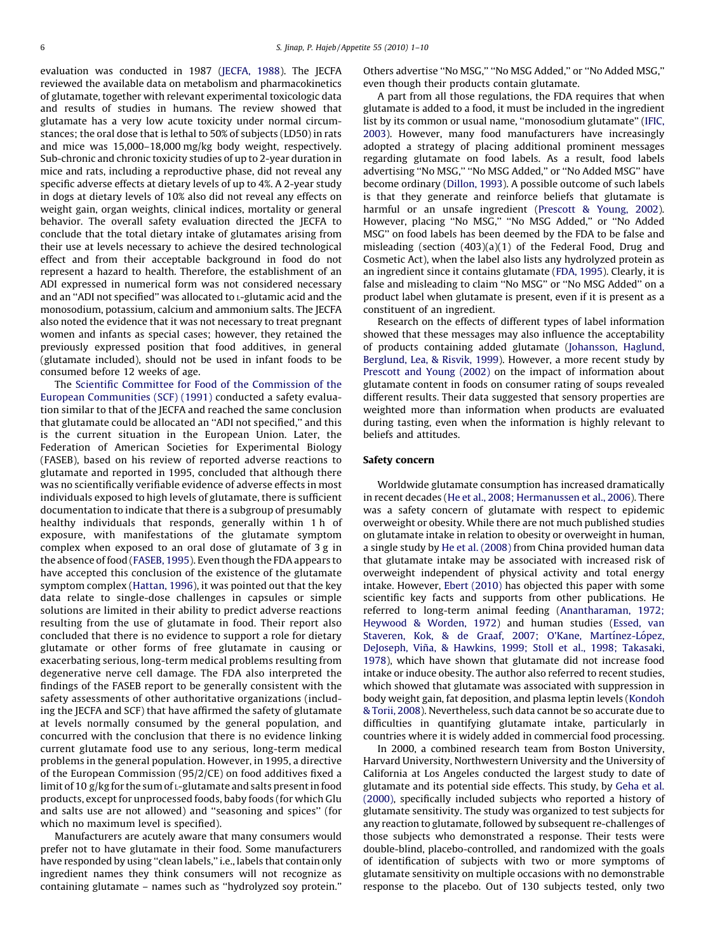evaluation was conducted in 1987 [\(JECFA, 1988](#page-7-0)). The JECFA reviewed the available data on metabolism and pharmacokinetics of glutamate, together with relevant experimental toxicologic data and results of studies in humans. The review showed that glutamate has a very low acute toxicity under normal circumstances; the oral dose that is lethal to 50% of subjects (LD50) in rats and mice was 15,000–18,000 mg/kg body weight, respectively. Sub-chronic and chronic toxicity studies of up to 2-year duration in mice and rats, including a reproductive phase, did not reveal any specific adverse effects at dietary levels of up to 4%. A 2-year study in dogs at dietary levels of 10% also did not reveal any effects on weight gain, organ weights, clinical indices, mortality or general behavior. The overall safety evaluation directed the JECFA to conclude that the total dietary intake of glutamates arising from their use at levels necessary to achieve the desired technological effect and from their acceptable background in food do not represent a hazard to health. Therefore, the establishment of an ADI expressed in numerical form was not considered necessary and an "ADI not specified" was allocated to L-glutamic acid and the monosodium, potassium, calcium and ammonium salts. The JECFA also noted the evidence that it was not necessary to treat pregnant women and infants as special cases; however, they retained the previously expressed position that food additives, in general (glutamate included), should not be used in infant foods to be consumed before 12 weeks of age.

The [Scientific Committee for Food of the Commission of the](#page-8-0) [European Communities \(SCF\) \(1991\)](#page-8-0) conducted a safety evaluation similar to that of the JECFA and reached the same conclusion that glutamate could be allocated an ''ADI not specified,'' and this is the current situation in the European Union. Later, the Federation of American Societies for Experimental Biology (FASEB), based on his review of reported adverse reactions to glutamate and reported in 1995, concluded that although there was no scientifically verifiable evidence of adverse effects in most individuals exposed to high levels of glutamate, there is sufficient documentation to indicate that there is a subgroup of presumably healthy individuals that responds, generally within 1 h of exposure, with manifestations of the glutamate symptom complex when exposed to an oral dose of glutamate of 3 g in the absence of food ([FASEB, 1995](#page-7-0)). Even though the FDA appears to have accepted this conclusion of the existence of the glutamate symptom complex ([Hattan, 1996\)](#page-7-0), it was pointed out that the key data relate to single-dose challenges in capsules or simple solutions are limited in their ability to predict adverse reactions resulting from the use of glutamate in food. Their report also concluded that there is no evidence to support a role for dietary glutamate or other forms of free glutamate in causing or exacerbating serious, long-term medical problems resulting from degenerative nerve cell damage. The FDA also interpreted the findings of the FASEB report to be generally consistent with the safety assessments of other authoritative organizations (including the JECFA and SCF) that have affirmed the safety of glutamate at levels normally consumed by the general population, and concurred with the conclusion that there is no evidence linking current glutamate food use to any serious, long-term medical problems in the general population. However, in 1995, a directive of the European Commission (95/2/CE) on food additives fixed a limit of 10 g/kg for the sum of L-glutamate and salts present in food products, except for unprocessed foods, baby foods (for which Glu and salts use are not allowed) and ''seasoning and spices'' (for which no maximum level is specified).

Manufacturers are acutely aware that many consumers would prefer not to have glutamate in their food. Some manufacturers have responded by using "clean labels," i.e., labels that contain only ingredient names they think consumers will not recognize as containing glutamate – names such as ''hydrolyzed soy protein.'' Others advertise ''No MSG,'' ''No MSG Added,'' or ''No Added MSG,'' even though their products contain glutamate.

A part from all those regulations, the FDA requires that when glutamate is added to a food, it must be included in the ingredient list by its common or usual name, "monosodium glutamate" [\(IFIC,](#page-7-0) [2003\)](#page-7-0). However, many food manufacturers have increasingly adopted a strategy of placing additional prominent messages regarding glutamate on food labels. As a result, food labels advertising ''No MSG,'' ''No MSG Added,'' or ''No Added MSG'' have become ordinary [\(Dillon, 1993\)](#page-7-0). A possible outcome of such labels is that they generate and reinforce beliefs that glutamate is harmful or an unsafe ingredient ([Prescott & Young, 2002\)](#page-8-0). However, placing ''No MSG,'' ''No MSG Added,'' or ''No Added MSG'' on food labels has been deemed by the FDA to be false and misleading (section (403)(a)(1) of the Federal Food, Drug and Cosmetic Act), when the label also lists any hydrolyzed protein as an ingredient since it contains glutamate [\(FDA, 1995](#page-7-0)). Clearly, it is false and misleading to claim ''No MSG'' or ''No MSG Added'' on a product label when glutamate is present, even if it is present as a constituent of an ingredient.

Research on the effects of different types of label information showed that these messages may also influence the acceptability of products containing added glutamate ([Johansson, Haglund,](#page-7-0) [Berglund, Lea, & Risvik, 1999\)](#page-7-0). However, a more recent study by [Prescott and Young \(2002\)](#page-8-0) on the impact of information about glutamate content in foods on consumer rating of soups revealed different results. Their data suggested that sensory properties are weighted more than information when products are evaluated during tasting, even when the information is highly relevant to beliefs and attitudes.

#### Safety concern

Worldwide glutamate consumption has increased dramatically in recent decades ([He et al., 2008; Hermanussen et al., 2006](#page-7-0)). There was a safety concern of glutamate with respect to epidemic overweight or obesity. While there are not much published studies on glutamate intake in relation to obesity or overweight in human, a single study by [He et al. \(2008\)](#page-7-0) from China provided human data that glutamate intake may be associated with increased risk of overweight independent of physical activity and total energy intake. However, [Ebert \(2010\)](#page-7-0) has objected this paper with some scientific key facts and supports from other publications. He referred to long-term animal feeding ([Anantharaman, 1972;](#page-7-0) [Heywood & Worden, 1972\)](#page-7-0) and human studies [\(Essed, van](#page-7-0) Staveren, Kok, & de Graaf, 2007; O'Kane, Martínez-López, DeJoseph, Viña, & Hawkins, 1999; Stoll et al., 1998; Takasaki, [1978](#page-7-0)), which have shown that glutamate did not increase food intake or induce obesity. The author also referred to recent studies, which showed that glutamate was associated with suppression in body weight gain, fat deposition, and plasma leptin levels [\(Kondoh](#page-8-0) [& Torii, 2008](#page-8-0)). Nevertheless, such data cannot be so accurate due to difficulties in quantifying glutamate intake, particularly in countries where it is widely added in commercial food processing.

In 2000, a combined research team from Boston University, Harvard University, Northwestern University and the University of California at Los Angeles conducted the largest study to date of glutamate and its potential side effects. This study, by [Geha et al.](#page-7-0) [\(2000\),](#page-7-0) specifically included subjects who reported a history of glutamate sensitivity. The study was organized to test subjects for any reaction to glutamate, followed by subsequent re-challenges of those subjects who demonstrated a response. Their tests were double-blind, placebo-controlled, and randomized with the goals of identification of subjects with two or more symptoms of glutamate sensitivity on multiple occasions with no demonstrable response to the placebo. Out of 130 subjects tested, only two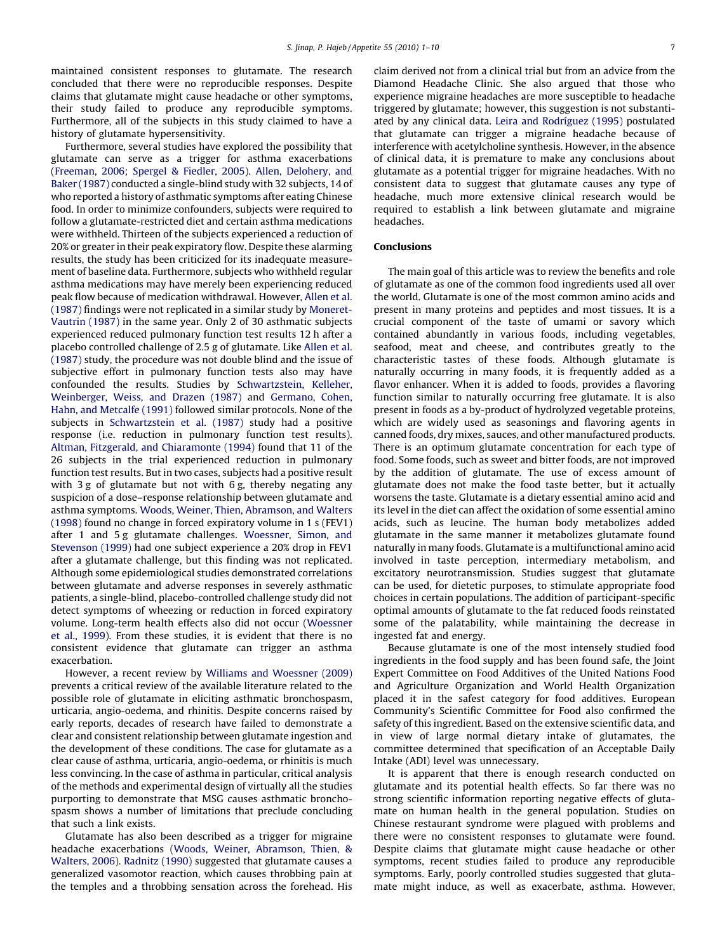maintained consistent responses to glutamate. The research concluded that there were no reproducible responses. Despite claims that glutamate might cause headache or other symptoms, their study failed to produce any reproducible symptoms. Furthermore, all of the subjects in this study claimed to have a history of glutamate hypersensitivity.

Furthermore, several studies have explored the possibility that glutamate can serve as a trigger for asthma exacerbations ([Freeman, 2006; Spergel & Fiedler, 2005](#page-7-0)). [Allen, Delohery, and](#page-7-0) [Baker \(1987\)](#page-7-0) conducted a single-blind study with 32 subjects, 14 of who reported a history of asthmatic symptoms after eating Chinese food. In order to minimize confounders, subjects were required to follow a glutamate-restricted diet and certain asthma medications were withheld. Thirteen of the subjects experienced a reduction of 20% or greater in their peak expiratory flow. Despite these alarming results, the study has been criticized for its inadequate measurement of baseline data. Furthermore, subjects who withheld regular asthma medications may have merely been experiencing reduced peak flow because of medication withdrawal. However, [Allen et al.](#page-7-0) [\(1987\)](#page-7-0) findings were not replicated in a similar study by [Moneret-](#page-8-0)[Vautrin \(1987\)](#page-8-0) in the same year. Only 2 of 30 asthmatic subjects experienced reduced pulmonary function test results 12 h after a placebo controlled challenge of 2.5 g of glutamate. Like [Allen et al.](#page-7-0) [\(1987\)](#page-7-0) study, the procedure was not double blind and the issue of subjective effort in pulmonary function tests also may have confounded the results. Studies by [Schwartzstein, Kelleher,](#page-8-0) [Weinberger, Weiss, and Drazen \(1987\)](#page-8-0) and [Germano, Cohen,](#page-7-0) [Hahn, and Metcalfe \(1991\)](#page-7-0) followed similar protocols. None of the subjects in [Schwartzstein et al. \(1987\)](#page-8-0) study had a positive response (i.e. reduction in pulmonary function test results). [Altman, Fitzgerald, and Chiaramonte \(1994\)](#page-7-0) found that 11 of the 26 subjects in the trial experienced reduction in pulmonary function test results. But in two cases, subjects had a positive result with 3 g of glutamate but not with 6 g, thereby negating any suspicion of a dose–response relationship between glutamate and asthma symptoms. [Woods, Weiner, Thien, Abramson, and Walters](#page-8-0) [\(1998\)](#page-8-0) found no change in forced expiratory volume in 1 s (FEV1) after 1 and 5 g glutamate challenges. [Woessner, Simon, and](#page-8-0) [Stevenson \(1999\)](#page-8-0) had one subject experience a 20% drop in FEV1 after a glutamate challenge, but this finding was not replicated. Although some epidemiological studies demonstrated correlations between glutamate and adverse responses in severely asthmatic patients, a single-blind, placebo-controlled challenge study did not detect symptoms of wheezing or reduction in forced expiratory volume. Long-term health effects also did not occur ([Woessner](#page-8-0) [et al., 1999\)](#page-8-0). From these studies, it is evident that there is no consistent evidence that glutamate can trigger an asthma exacerbation.

However, a recent review by [Williams and Woessner \(2009\)](#page-8-0) prevents a critical review of the available literature related to the possible role of glutamate in eliciting asthmatic bronchospasm, urticaria, angio-oedema, and rhinitis. Despite concerns raised by early reports, decades of research have failed to demonstrate a clear and consistent relationship between glutamate ingestion and the development of these conditions. The case for glutamate as a clear cause of asthma, urticaria, angio-oedema, or rhinitis is much less convincing. In the case of asthma in particular, critical analysis of the methods and experimental design of virtually all the studies purporting to demonstrate that MSG causes asthmatic bronchospasm shows a number of limitations that preclude concluding that such a link exists.

Glutamate has also been described as a trigger for migraine headache exacerbations ([Woods, Weiner, Abramson, Thien, &](#page-8-0) [Walters, 2006\)](#page-8-0). [Radnitz \(1990\)](#page-8-0) suggested that glutamate causes a generalized vasomotor reaction, which causes throbbing pain at the temples and a throbbing sensation across the forehead. His claim derived not from a clinical trial but from an advice from the Diamond Headache Clinic. She also argued that those who experience migraine headaches are more susceptible to headache triggered by glutamate; however, this suggestion is not substantiated by any clinical data. Leira and Rodríguez (1995) postulated that glutamate can trigger a migraine headache because of interference with acetylcholine synthesis. However, in the absence of clinical data, it is premature to make any conclusions about glutamate as a potential trigger for migraine headaches. With no consistent data to suggest that glutamate causes any type of headache, much more extensive clinical research would be required to establish a link between glutamate and migraine headaches.

#### Conclusions

The main goal of this article was to review the benefits and role of glutamate as one of the common food ingredients used all over the world. Glutamate is one of the most common amino acids and present in many proteins and peptides and most tissues. It is a crucial component of the taste of umami or savory which contained abundantly in various foods, including vegetables, seafood, meat and cheese, and contributes greatly to the characteristic tastes of these foods. Although glutamate is naturally occurring in many foods, it is frequently added as a flavor enhancer. When it is added to foods, provides a flavoring function similar to naturally occurring free glutamate. It is also present in foods as a by-product of hydrolyzed vegetable proteins, which are widely used as seasonings and flavoring agents in canned foods, dry mixes, sauces, and other manufactured products. There is an optimum glutamate concentration for each type of food. Some foods, such as sweet and bitter foods, are not improved by the addition of glutamate. The use of excess amount of glutamate does not make the food taste better, but it actually worsens the taste. Glutamate is a dietary essential amino acid and its level in the diet can affect the oxidation of some essential amino acids, such as leucine. The human body metabolizes added glutamate in the same manner it metabolizes glutamate found naturally in many foods. Glutamate is a multifunctional amino acid involved in taste perception, intermediary metabolism, and excitatory neurotransmission. Studies suggest that glutamate can be used, for dietetic purposes, to stimulate appropriate food choices in certain populations. The addition of participant-specific optimal amounts of glutamate to the fat reduced foods reinstated some of the palatability, while maintaining the decrease in ingested fat and energy.

Because glutamate is one of the most intensely studied food ingredients in the food supply and has been found safe, the Joint Expert Committee on Food Additives of the United Nations Food and Agriculture Organization and World Health Organization placed it in the safest category for food additives. European Community's Scientific Committee for Food also confirmed the safety of this ingredient. Based on the extensive scientific data, and in view of large normal dietary intake of glutamates, the committee determined that specification of an Acceptable Daily Intake (ADI) level was unnecessary.

It is apparent that there is enough research conducted on glutamate and its potential health effects. So far there was no strong scientific information reporting negative effects of glutamate on human health in the general population. Studies on Chinese restaurant syndrome were plagued with problems and there were no consistent responses to glutamate were found. Despite claims that glutamate might cause headache or other symptoms, recent studies failed to produce any reproducible symptoms. Early, poorly controlled studies suggested that glutamate might induce, as well as exacerbate, asthma. However,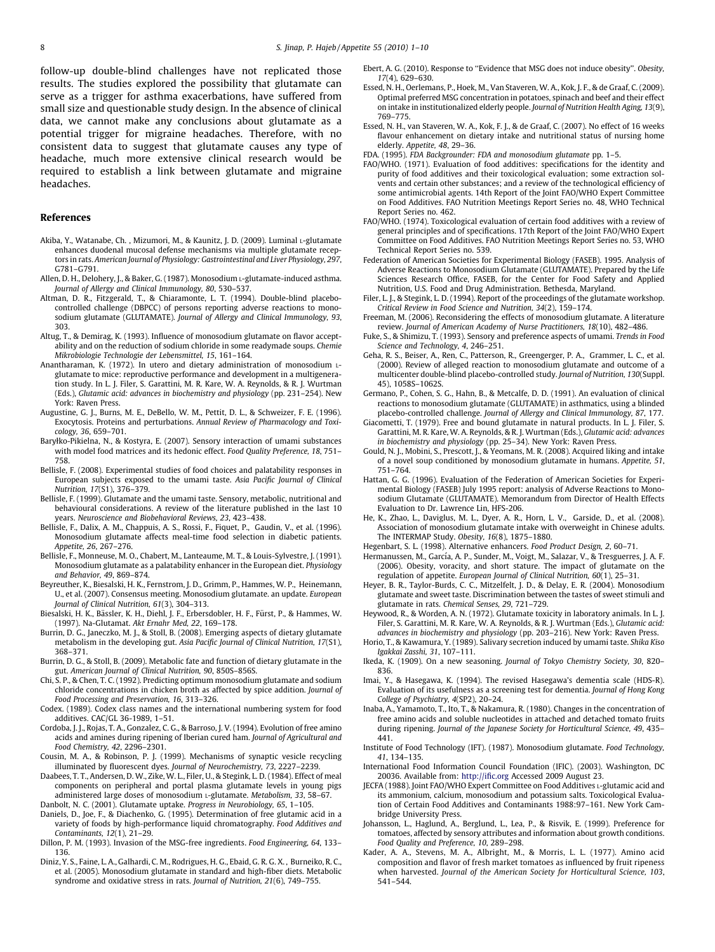<span id="page-7-0"></span>follow-up double-blind challenges have not replicated those results. The studies explored the possibility that glutamate can serve as a trigger for asthma exacerbations, have suffered from small size and questionable study design. In the absence of clinical data, we cannot make any conclusions about glutamate as a potential trigger for migraine headaches. Therefore, with no consistent data to suggest that glutamate causes any type of headache, much more extensive clinical research would be required to establish a link between glutamate and migraine headaches.

#### References

- Akiba, Y., Watanabe, Ch. , Mizumori, M., & Kaunitz, J. D. (2009). Luminal L-glutamate enhances duodenal mucosal defense mechanisms via multiple glutamate receptors in rats. American Journal of Physiology: Gastrointestinal and Liver Physiology, 297, G781–G791.
- Allen, D. H., Delohery, J., & Baker, G. (1987). Monosodium L-glutamate-induced asthma. Journal of Allergy and Clinical Immunology, 80, 530–537.
- Altman, D. R., Fitzgerald, T., & Chiaramonte, L. T. (1994). Double-blind placebocontrolled challenge (DBPCC) of persons reporting adverse reactions to monosodium glutamate (GLUTAMATE). Journal of Allergy and Clinical Immunology, 93, 303.
- Altug, T., & Demirag, K. (1993). Influence of monosodium glutamate on flavor acceptability and on the reduction of sodium chloride in some readymade soups. Chemie Mikrobiologie Technologie der Lebensmittel, 15, 161–164.
- Anantharaman, K. (1972). In utero and dietary administration of monosodium Lglutamate to mice: reproductive performance and development in a multigeneration study. In L. J. Filer, S. Garattini, M. R. Kare, W. A. Reynolds, & R. J. Wurtman (Eds.), Glutamic acid: advances in biochemistry and physiology (pp. 231–254). New York: Raven Press.
- Augustine, G. J., Burns, M. E., DeBello, W. M., Pettit, D. L., & Schweizer, F. E. (1996). Exocytosis. Proteins and perturbations. Annual Review of Pharmacology and Toxicology, 36, 659–701.
- Baryłko-Pikielna, N., & Kostyra, E. (2007). Sensory interaction of umami substances with model food matrices and its hedonic effect. Food Quality Preference, 18, 751-758.
- Bellisle, F. (2008). Experimental studies of food choices and palatability responses in European subjects exposed to the umami taste. Asia Pacific Journal of Clinical Nutrition, 17(S1), 376–379.
- Bellisle, F. (1999). Glutamate and the umami taste. Sensory, metabolic, nutritional and behavioural considerations. A review of the literature published in the last 10 years. Neuroscience and Biobehavioral Reviews, 23, 423–438.
- Bellisle, F., Dalix, A. M., Chappuis, A. S., Rossi, F., Fiquet, P., Gaudin, V., et al. (1996). Monosodium glutamate affects meal-time food selection in diabetic patients. Appetite, 26, 267–276.
- Bellisle, F., Monneuse, M. O., Chabert, M., Lanteaume, M. T., & Louis-Sylvestre, J. (1991). Monosodium glutamate as a palatability enhancer in the European diet. Physiology and Behavior, 49, 869–874.
- Beyreuther, K., Biesalski, H. K., Fernstrom, J. D., Grimm, P., Hammes, W. P., Heinemann, U., et al. (2007). Consensus meeting. Monosodium glutamate. an update. European Journal of Clinical Nutrition, 61(3), 304–313.
- Biesalski, H. K., Bässler, K. H., Diehl, J. F., Erbersdobler, H. F., Fürst, P., & Hammes, W. (1997). Na-Glutamat. Akt Ernahr Med, 22, 169–178.
- Burrin, D. G., Janeczko, M. J., & Stoll, B. (2008). Emerging aspects of dietary glutamate metabolism in the developing gut. Asia Pacific Journal of Clinical Nutrition, 17(S1), 368–371.
- Burrin, D. G., & Stoll, B. (2009). Metabolic fate and function of dietary glutamate in the gut. American Journal of Clinical Nutrition, 90, 850S–856S.
- Chi, S. P., & Chen, T. C. (1992). Predicting optimum monosodium glutamate and sodium chloride concentrations in chicken broth as affected by spice addition. Journal of Food Processing and Preservation, 16, 313–326.

Codex. (1989). Codex class names and the international numbering system for food additives. CAC/GL 36-1989, 1–51.

- Cordoba, J. J., Rojas, T. A., Gonzalez, C. G., & Barroso, J. V. (1994). Evolution of free amino acids and amines during ripening of Iberian cured ham. Journal of Agricultural and Food Chemistry, 42, 2296–2301.
- Cousin, M. A., & Robinson, P. J. (1999). Mechanisms of synaptic vesicle recycling illuminated by fluorescent dyes. Journal of Neurochemistry, 73, 2227–2239.
- Daabees, T. T., Andersen, D. W., Zike, W. L., Filer, U., & Stegink, L. D. (1984). Effect of meal components on peripheral and portal plasma glutamate levels in young pigs administered large doses of monosodium L-glutamate. Metabolism, 33, 58-67. Danbolt, N. C. (2001). Glutamate uptake. Progress in Neurobiology, 65, 1–105.
- Daniels, D., Joe, F., & Diachenko, G. (1995). Determination of free glutamic acid in a variety of foods by high-performance liquid chromatography. Food Additives and Contaminants, 12(1), 21–29.
- Dillon, P. M. (1993). Invasion of the MSG-free ingredients. Food Engineering, 64, 133– 136.
- Diniz, Y. S., Faine, L. A., Galhardi, C. M., Rodrigues, H. G., Ebaid, G. R. G. X. , Burneiko, R. C., et al. (2005). Monosodium glutamate in standard and high-fiber diets. Metabolic syndrome and oxidative stress in rats. Journal of Nutrition, 21(6), 749–755.

Ebert, A. G. (2010). Response to ''Evidence that MSG does not induce obesity''. Obesity,  $17(4)$ , 629–630

- Essed, N. H., Oerlemans, P., Hoek, M., Van Staveren, W. A., Kok, J. F., & de Graaf, C. (2009). Optimal preferred MSG concentration in potatoes, spinach and beef and their effect on intake in institutionalized elderly people. Journal of Nutrition Health Aging, 13(9), 769–775.
- Essed, N. H., van Staveren, W. A., Kok, F. J., & de Graaf, C. (2007). No effect of 16 weeks flavour enhancement on dietary intake and nutritional status of nursing home elderly. Appetite, 48, 29–36.

FDA. (1995). FDA Backgrounder: FDA and monosodium glutamate pp. 1–5.

- FAO/WHO. (1971). Evaluation of food additives: specifications for the identity and purity of food additives and their toxicological evaluation; some extraction solvents and certain other substances; and a review of the technological efficiency of some antimicrobial agents. 14th Report of the Joint FAO/WHO Expert Committee on Food Additives. FAO Nutrition Meetings Report Series no. 48, WHO Technical Report Series no. 462.
- FAO/WHO. (1974). Toxicological evaluation of certain food additives with a review of general principles and of specifications. 17th Report of the Joint FAO/WHO Expert Committee on Food Additives. FAO Nutrition Meetings Report Series no. 53, WHO Technical Report Series no. 539.
- Federation of American Societies for Experimental Biology (FASEB). 1995. Analysis of Adverse Reactions to Monosodium Glutamate (GLUTAMATE). Prepared by the Life Sciences Research Office, FASEB, for the Center for Food Safety and Applied Nutrition, U.S. Food and Drug Administration. Bethesda, Maryland.
- Filer, L. J., & Stegink, L. D. (1994). Report of the proceedings of the glutamate workshop. Critical Review in Food Science and Nutrition, 34(2), 159–174.
- Freeman, M. (2006). Reconsidering the effects of monosodium glutamate. A literature review. Journal of American Academy of Nurse Practitioners, 18(10), 482–486.
- Fuke, S., & Shimizu, T. (1993). Sensory and preference aspects of umami. Trends in Food Science and Technology, 4, 246–251.
- Geha, R. S., Beiser, A., Ren, C., Patterson, R., Greengerger, P. A., Grammer, L. C., et al. (2000). Review of alleged reaction to monosodium glutamate and outcome of a multicenter double-blind placebo-controlled study. Journal of Nutrition, 130(Suppl. 45), 1058S–1062S.
- Germano, P., Cohen, S. G., Hahn, B., & Metcalfe, D. D. (1991). An evaluation of clinical reactions to monosodium glutamate (GLUTAMATE) in asthmatics, using a blinded placebo-controlled challenge. Journal of Allergy and Clinical Immunology, 87, 177.
- Giacometti, T. (1979). Free and bound glutamate in natural products. In L. J. Filer, S. Garattini, M. R. Kare, W. A. Reynolds, & R. J. Wurtman (Eds.), Glutamic acid: advances in biochemistry and physiology (pp. 25–34). New York: Raven Press.
- Gould, N. J., Mobini, S., Prescott, J., & Yeomans, M. R. (2008). Acquired liking and intake of a novel soup conditioned by monosodium glutamate in humans. Appetite, 51, 751–764.
- Hattan, G. G. (1996). Evaluation of the Federation of American Societies for Experimental Biology (FASEB) July 1995 report: analysis of Adverse Reactions to Monosodium Glutamate (GLUTAMATE). Memorandum from Director of Health Effects Evaluation to Dr. Lawrence Lin, HFS-206.
- He, K., Zhao, L., Daviglus, M. L., Dyer, A. R., Horn, L. V., Garside, D., et al. (2008). Association of monosodium glutamate intake with overweight in Chinese adults. The INTERMAP Study. Obesity, 16(8), 1875–1880.

Hegenbart, S. L. (1998). Alternative enhancers. Food Product Design, 2, 60–71.

- Hermanussen, M., García, A. P., Sunder, M., Voigt, M., Salazar, V., & Tresguerres, J. A. F. (2006). Obesity, voracity, and short stature. The impact of glutamate on the regulation of appetite. European Journal of Clinical Nutrition, 60(1), 25–31.
- Heyer, B. R., Taylor-Burds, C. C., Mitzelfelt, J. D., & Delay, E. R. (2004). Monosodium glutamate and sweet taste. Discrimination between the tastes of sweet stimuli and glutamate in rats. Chemical Senses, 29, 721–729.
- Heywood, R., & Worden, A. N. (1972). Glutamate toxicity in laboratory animals. In L. J. Filer, S. Garattini, M. R. Kare, W. A. Reynolds, & R. J. Wurtman (Eds.), Glutamic acid: advances in biochemistry and physiology (pp. 203–216). New York: Raven Press.
- Horio, T., & Kawamura, Y. (1989). Salivary secretion induced by umami taste. Shika Kiso Igakkai Zasshi, 31, 107–111.
- Ikeda, K. (1909). On a new seasoning. Journal of Tokyo Chemistry Society, 30, 820– 836.
- Imai, Y., & Hasegawa, K. (1994). The revised Hasegawa's dementia scale (HDS-R). Evaluation of its usefulness as a screening test for dementia. Journal of Hong Kong College of Psychiatry, 4(SP2), 20–24.
- Inaba, A., Yamamoto, T., Ito, T., & Nakamura, R. (1980). Changes in the concentration of free amino acids and soluble nucleotides in attached and detached tomato fruits during ripening. Journal of the Japanese Society for Horticultural Science, 49, 435– 441.
- Institute of Food Technology (IFT). (1987). Monosodium glutamate. Food Technology, 41, 134–135.
- International Food Information Council Foundation (IFIC). (2003). Washington, DC 20036. Available from: [http://ific.org](http://ific.org/) Accessed 2009 August 23.
- JECFA (1988). Joint FAO/WHO Expert Committee on Food Additives L-glutamic acid and its ammonium, calcium, monosodium and potassium salts. Toxicological Evaluation of Certain Food Additives and Contaminants 1988:97–161. New York Cambridge University Press.
- Johansson, L., Haglund, A., Berglund, L., Lea, P., & Risvik, E. (1999). Preference for tomatoes, affected by sensory attributes and information about growth conditions. Food Quality and Preference, 10, 289–298.
- Kader, A. A., Stevens, M. A., Albright, M., & Morris, L. L. (1977). Amino acid composition and flavor of fresh market tomatoes as influenced by fruit ripeness when harvested. Journal of the American Society for Horticultural Science, 103, 541–544.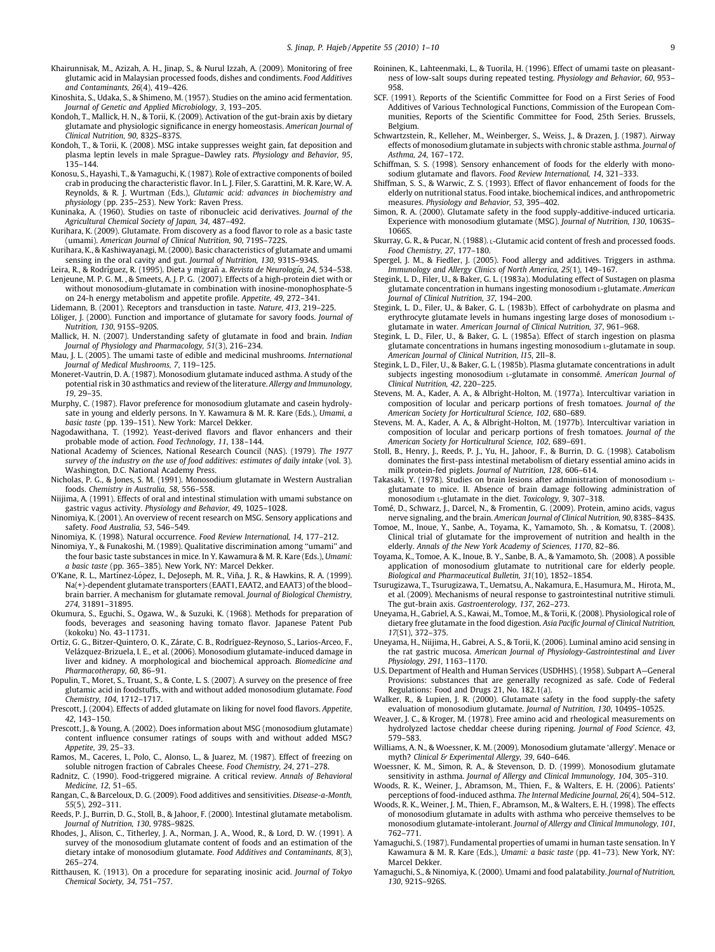- <span id="page-8-0"></span>Khairunnisak, M., Azizah, A. H., Jinap, S., & Nurul Izzah, A. (2009). Monitoring of free glutamic acid in Malaysian processed foods, dishes and condiments. Food Additives and Contaminants, 26(4), 419–426.
- Kinoshita, S., Udaka, S., & Shimeno, M. (1957). Studies on the amino acid fermentation. Journal of Genetic and Applied Microbiology, 3, 193–205.
- Kondoh, T., Mallick, H. N., & Torii, K. (2009). Activation of the gut-brain axis by dietary glutamate and physiologic significance in energy homeostasis. American Journal of Clinical Nutrition, 90, 832S–837S.
- Kondoh, T., & Torii, K. (2008). MSG intake suppresses weight gain, fat deposition and plasma leptin levels in male Sprague–Dawley rats. Physiology and Behavior, 95, 135–144.
- Konosu, S., Hayashi, T., & Yamaguchi, K. (1987). Role of extractive components of boiled crab in producing the characteristic flavor. In L. J. Filer, S. Garattini, M. R. Kare, W. A. Reynolds, & R. J. Wurtman (Eds.), Glutamic acid: advances in biochemistry and physiology (pp. 235–253). New York: Raven Press.
- Kuninaka, A. (1960). Studies on taste of ribonucleic acid derivatives. Journal of the Agricultural Chemical Society of Japan, 34, 487–492.
- Kurihara, K. (2009). Glutamate. From discovery as a food flavor to role as a basic taste (umami). American Journal of Clinical Nutrition, 90, 719S–722S.
- Kurihara, K., & Kashiwayanagi, M. (2000). Basic characteristics of glutamate and umami sensing in the oral cavity and gut. Journal of Nutrition, 130, 931S-934S.
- Leira, R., & Rodríguez, R. (1995). Dieta y migrañ a. Revista de Neurología, 24, 534–538. Lenjeune, M. P. G. M. , & Smeets, A. J. P. G. (2007). Effects of a high-protein diet with or without monosodium-glutamate in combination with inosine-monophosphate-5 on 24-h energy metabolism and appetite profile. Appetite, 49, 272–341.
- Lidemann, B. (2001). Receptors and transduction in taste. Nature, 413, 219–225. Löliger, J. (2000). Function and importance of glutamate for savory foods. Journal of
- Nutrition, 130, 915S–920S.
- Mallick, H. N. (2007). Understanding safety of glutamate in food and brain. Indian Journal of Physiology and Pharmacology, 51(3), 216–234.
- Mau, J. L. (2005). The umami taste of edible and medicinal mushrooms. International Journal of Medical Mushrooms, 7, 119–125.
- Moneret-Vautrin, D. A. (1987). Monosodium glutamate induced asthma. A study of the potential risk in 30 asthmatics and review of the literature. Allergy and Immunology, 19, 29–35.
- Murphy, C. (1987). Flavor preference for monosodium glutamate and casein hydrolysate in young and elderly persons. In Y. Kawamura & M. R. Kare (Eds.), Umami, a basic taste (pp. 139–151). New York: Marcel Dekker.
- Nagodawithana, T. (1992). Yeast-derived flavors and flavor enhancers and their probable mode of action. Food Technology, 11, 138–144.
- National Academy of Sciences, National Research Council (NAS). (1979). The 1977 survey of the industry on the use of food additives: estimates of daily intake (vol. 3). Washington, D.C. National Academy Press.
- Nicholas, P. G., & Jones, S. M. (1991). Monosodium glutamate in Western Australian foods. Chemistry in Australia, 58, 556–558.
- Niijima, A. (1991). Effects of oral and intestinal stimulation with umami substance on gastric vagus activity. Physiology and Behavior, 49, 1025–1028.
- Ninomiya, K. (2001). An overview of recent research on MSG. Sensory applications and safety. Food Australia, 53, 546–549.
- Ninomiya, K. (1998). Natural occurrence. Food Review International, 14, 177–212.
- Ninomiya, Y., & Funakoshi, M. (1989). Qualitative discrimination among ''umami'' and the four basic taste substances in mice. In Y. Kawamura & M. R. Kare (Eds.), Umami: a basic taste (pp. 365–385). New York, NY: Marcel Dekker.
- O'Kane, R. L., Martínez-López, I., DeJoseph, M. R., Viña, J. R., & Hawkins, R. A. (1999). Na(+)-dependent glutamate transporters (EAAT1, EAAT2, and EAAT3) of the blood– brain barrier. A mechanism for glutamate removal. Journal of Biological Chemistry, 274, 31891–31895.
- Okumura, S., Eguchi, S., Ogawa, W., & Suzuki, K. (1968). Methods for preparation of foods, beverages and seasoning having tomato flavor. Japanese Patent Pub (kokoku) No. 43-11731.
- Ortiz, G. G., Bitzer-Quintero, O. K., Zárate, C. B., Rodríguez-Reynoso, S., Larios-Arceo, F., Vela´zquez-Brizuela, I. E., et al. (2006). Monosodium glutamate-induced damage in liver and kidney. A morphological and biochemical approach. Biomedicine and Pharmacotherapy, 60, 86–91.
- Populin, T., Moret, S., Truant, S., & Conte, L. S. (2007). A survey on the presence of free glutamic acid in foodstuffs, with and without added monosodium glutamate. Food Chemistry, 104, 1712–1717.
- Prescott, J. (2004). Effects of added glutamate on liking for novel food flavors. Appetite, 42, 143–150.
- Prescott, J., & Young, A. (2002). Does information about MSG (monosodium glutamate) content influence consumer ratings of soups with and without added MSG? Appetite, 39, 25–33.
- Ramos, M., Caceres, I., Polo, C., Alonso, L., & Juarez, M. (1987). Effect of freezing on soluble nitrogen fraction of Cabrales Cheese. Food Chemistry, 24, 271–278.
- Radnitz, C. (1990). Food-triggered migraine. A critical review. Annals of Behavioral Medicine, 12, 51–65.
- Rangan, C., & Barceloux, D. G. (2009). Food additives and sensitivities. Disease-a-Month, 55(5), 292–311.
- Reeds, P. J., Burrin, D. G., Stoll, B., & Jahoor, F. (2000). Intestinal glutamate metabolism. Journal of Nutrition, 130, 978S–982S.
- Rhodes, J., Alison, C., Titherley, J. A., Norman, J. A., Wood, R., & Lord, D. W. (1991). A survey of the monosodium glutamate content of foods and an estimation of the dietary intake of monosodium glutamate. Food Additives and Contaminants, 8(3), 265–274.
- Ritthausen, K. (1913). On a procedure for separating inosinic acid. Journal of Tokyo Chemical Society, 34, 751–757.
- Roininen, K., Lahteenmaki, L., & Tuorila, H. (1996). Effect of umami taste on pleasantness of low-salt soups during repeated testing. Physiology and Behavior, 60, 953– 958.
- SCF. (1991). Reports of the Scientific Committee for Food on a First Series of Food Additives of Various Technological Functions, Commission of the European Communities, Reports of the Scientific Committee for Food, 25th Series. Brussels, Belgium.
- Schwartzstein, R., Kelleher, M., Weinberger, S., Weiss, J., & Drazen, J. (1987). Airway effects of monosodium glutamate in subjects with chronic stable asthma. Journal of Asthma, 24, 167–172.
- Schiffman, S. S. (1998). Sensory enhancement of foods for the elderly with monosodium glutamate and flavors. Food Review International, 14, 321–333.
- Shiffman, S. S., & Warwic, Z. S. (1993). Effect of flavor enhancement of foods for the elderly on nutritional status. Food intake, biochemical indices, and anthropometric measures. Physiology and Behavior, 53, 395–402.
- Simon, R. A. (2000). Glutamate safety in the food supply-additive-induced urticaria. Experience with monosodium glutamate (MSG). Journal of Nutrition, 130, 1063S– 1066S.
- Skurray, G. R., & Pucar, N. (1988). L-Glutamic acid content of fresh and processed foods. Food Chemistry, 27, 177–180.
- Spergel, J. M., & Fiedler, J. (2005). Food allergy and additives. Triggers in asthma. Immunology and Allergy Clinics of North America, 25(1), 149–167.
- Stegink, L. D., Filer, U., & Baker, G. L. (1983a). Modulating effect of Sustagen on plasma glutamate concentration in humans ingesting monosodium L-glutamate. American Journal of Clinical Nutrition, 37, 194–200.
- Stegink, L. D., Filer, U., & Baker, G. L. (1983b). Effect of carbohydrate on plasma and erythrocyte glutamate levels in humans ingesting large doses of monosodium Lglutamate in water. American Journal of Clinical Nutrition, 37, 961–968.
- Stegink, L. D., Filer, U., & Baker, G. L. (1985a). Effect of starch ingestion on plasma glutamate concentrations in humans ingesting monosodium L-glutamate in soup. American Journal of Clinical Nutrition, l15, 2ll–8.
- Stegink, L. D., Filer, U., & Baker, G. L. (1985b). Plasma glutamate concentrations in adult subjects ingesting monosodium L-glutamate in consommé. American Journal of Clinical Nutrition, 42, 220–225.
- Stevens, M. A., Kader, A. A., & Albright-Holton, M. (1977a). Intercultivar variation in composition of locular and pericarp portions of fresh tomatoes. Journal of the American Society for Horticultural Science, 102, 680–689.
- Stevens, M. A., Kader, A. A., & Albright-Holton, M. (1977b). Intercultivar variation in composition of locular and pericarp portions of fresh tomatoes. Journal of the American Society for Horticultural Science, 102, 689–691.
- Stoll, B., Henry, J., Reeds, P. J., Yu, H., Jahoor, F., & Burrin, D. G. (1998). Catabolism dominates the first-pass intestinal metabolism of dietary essential amino acids in milk protein-fed piglets. Journal of Nutrition, 128, 606–614.
- Takasaki, Y. (1978). Studies on brain lesions after administration of monosodium Lglutamate to mice. II. Absence of brain damage following administration of monosodium L-glutamate in the diet. Toxicology, 9, 307-318.
- Tomé, D., Schwarz, J., Darcel, N., & Fromentin, G. (2009). Protein, amino acids, vagus nerve signaling, and the brain. American Journal of Clinical Nutrition, 90, 838S–843S.
- Tomoe, M., Inoue, Y., Sanbe, A., Toyama, K., Yamamoto, Sh. , & Komatsu, T. (2008). Clinical trial of glutamate for the improvement of nutrition and health in the elderly. Annals of the New York Academy of Sciences, 1170, 82–86.
- Toyama, K., Tomoe, A. K., Inoue, B. Y., Sanbe, B. A., & Yamamoto, Sh. (2008). A possible application of monosodium glutamate to nutritional care for elderly people. Biological and Pharmaceutical Bulletin, 31(10), 1852–1854.
- Tsurugizawa, T., Tsurugizawa, T., Uematsu, A., Nakamura, E., Hasumura, M., Hirota, M., et al. (2009). Mechanisms of neural response to gastrointestinal nutritive stimuli. The gut-brain axis. Gastroenterology, 137, 262–273.
- Uneyama, H., Gabriel, A. S., Kawai, M., Tomoe, M., & Torii, K. (2008). Physiological role of dietary free glutamate in the food digestion. Asia Pacific Journal of Clinical Nutrition, 17(S1), 372–375.
- Uneyama, H., Niijima, H., Gabrei, A. S., & Torii, K. (2006). Luminal amino acid sensing in the rat gastric mucosa. American Journal of Physiology-Gastrointestinal and Liver Physiology, 291, 1163–1170.
- U.S. Department of Health and Human Services (USDHHS). (1958). Subpart A—General Provisions: substances that are generally recognized as safe. Code of Federal Regulations: Food and Drugs 21, No. 182.1(a).
- Walker, R., & Lupien, J. R. (2000). Glutamate safety in the food supply-the safety evaluation of monosodium glutamate. Journal of Nutrition, 130, 1049S–1052S.
- Weaver, J. C., & Kroger, M. (1978). Free amino acid and rheological measurements on hydrolyzed lactose cheddar cheese during ripening. Journal of Food Science, 43, 579–583.
- Williams, A. N., & Woessner, K. M. (2009). Monosodium glutamate 'allergy'. Menace or myth? Clinical & Experimental Allergy, 39, 640–646.
- Woessner, K. M., Simon, R. A., & Stevenson, D. D. (1999). Monosodium glutamate sensitivity in asthma. Journal of Allergy and Clinical Immunology, 104, 305–310.
- Woods, R. K., Weiner, J., Abramson, M., Thien, F., & Walters, E. H. (2006). Patients' perceptions of food-induced asthma. The Internal Medicine Journal, 26(4), 504–512.
- Woods, R. K., Weiner, J. M., Thien, F., Abramson, M., & Walters, E. H. (1998). The effects of monosodium glutamate in adults with asthma who perceive themselves to be monosodium glutamate-intolerant. Journal of Allergy and Clinical Immunology, 101, 762–771.
- Yamaguchi, S. (1987). Fundamental properties of umami in human taste sensation. In Y Kawamura & M. R. Kare (Eds.), Umami: a basic taste (pp. 41–73). New York, NY: Marcel Dekker.
- Yamaguchi, S., & Ninomiya, K. (2000). Umami and food palatability. Journal of Nutrition, 130, 921S–926S.